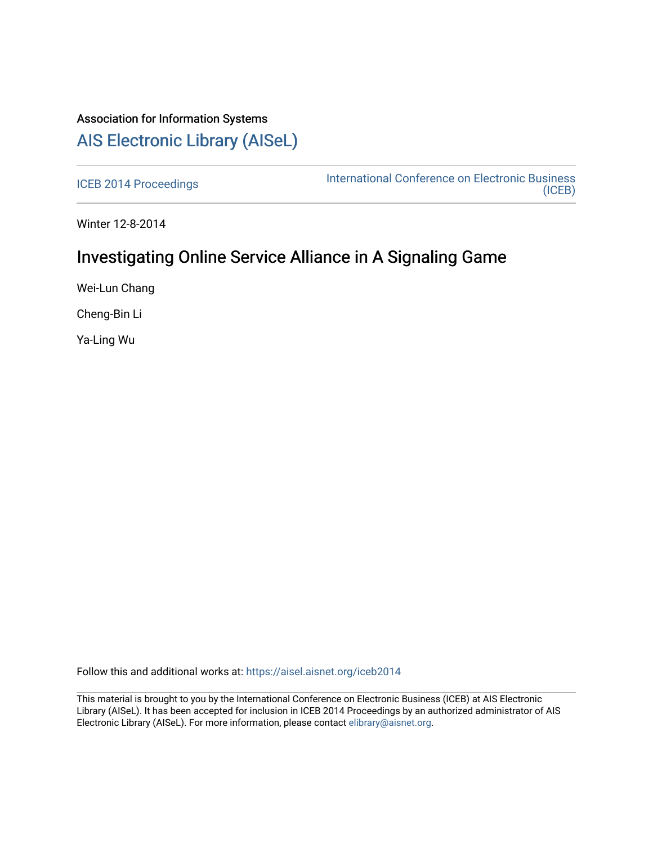## Association for Information Systems [AIS Electronic Library \(AISeL\)](https://aisel.aisnet.org/)

[ICEB 2014 Proceedings](https://aisel.aisnet.org/iceb2014) **International Conference on Electronic Business** [\(ICEB\)](https://aisel.aisnet.org/iceb) 

Winter 12-8-2014

# Investigating Online Service Alliance in A Signaling Game

Wei-Lun Chang

Cheng-Bin Li

Ya-Ling Wu

Follow this and additional works at: [https://aisel.aisnet.org/iceb2014](https://aisel.aisnet.org/iceb2014?utm_source=aisel.aisnet.org%2Ficeb2014%2F33&utm_medium=PDF&utm_campaign=PDFCoverPages)

This material is brought to you by the International Conference on Electronic Business (ICEB) at AIS Electronic Library (AISeL). It has been accepted for inclusion in ICEB 2014 Proceedings by an authorized administrator of AIS Electronic Library (AISeL). For more information, please contact [elibrary@aisnet.org.](mailto:elibrary@aisnet.org%3E)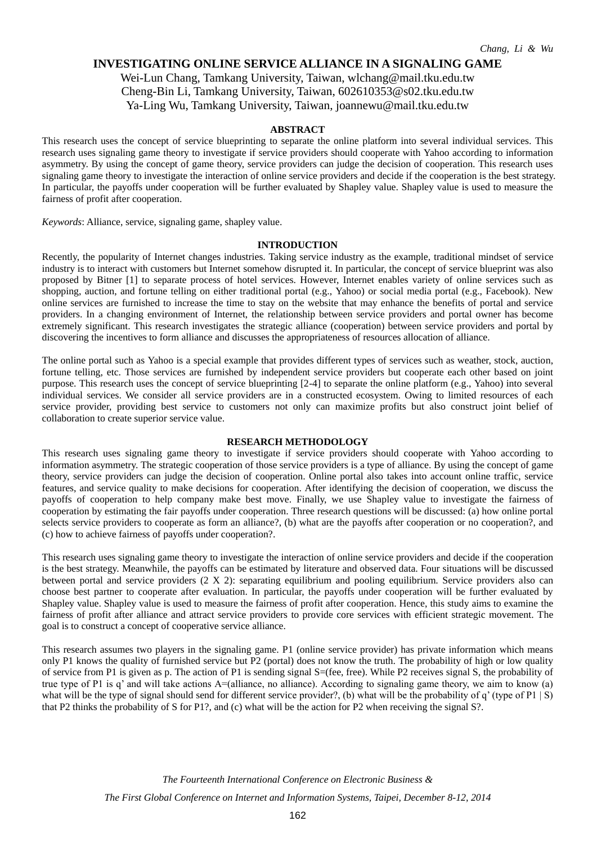### **INVESTIGATING ONLINE SERVICE ALLIANCE IN A SIGNALING GAME**

Wei-Lun Chang, Tamkang University, Taiwan, wlchang@mail.tku.edu.tw Cheng-Bin Li, Tamkang University, Taiwan, 602610353@s02.tku.edu.tw Ya-Ling Wu, Tamkang University, Taiwan, joannewu@mail.tku.edu.tw

#### **ABSTRACT**

This research uses the concept of service blueprinting to separate the online platform into several individual services. This research uses signaling game theory to investigate if service providers should cooperate with Yahoo according to information asymmetry. By using the concept of game theory, service providers can judge the decision of cooperation. This research uses signaling game theory to investigate the interaction of online service providers and decide if the cooperation is the best strategy. In particular, the payoffs under cooperation will be further evaluated by Shapley value. Shapley value is used to measure the fairness of profit after cooperation.

*Keywords*: Alliance, service, signaling game, shapley value.

#### **INTRODUCTION**

Recently, the popularity of Internet changes industries. Taking service industry as the example, traditional mindset of service industry is to interact with customers but Internet somehow disrupted it. In particular, the concept of service blueprint was also proposed by Bitner [1] to separate process of hotel services. However, Internet enables variety of online services such as shopping, auction, and fortune telling on either traditional portal (e.g., Yahoo) or social media portal (e.g., Facebook). New online services are furnished to increase the time to stay on the website that may enhance the benefits of portal and service providers. In a changing environment of Internet, the relationship between service providers and portal owner has become extremely significant. This research investigates the strategic alliance (cooperation) between service providers and portal by discovering the incentives to form alliance and discusses the appropriateness of resources allocation of alliance.

The online portal such as Yahoo is a special example that provides different types of services such as weather, stock, auction, fortune telling, etc. Those services are furnished by independent service providers but cooperate each other based on joint purpose. This research uses the concept of service blueprinting [2-4] to separate the online platform (e.g., Yahoo) into several individual services. We consider all service providers are in a constructed ecosystem. Owing to limited resources of each service provider, providing best service to customers not only can maximize profits but also construct joint belief of collaboration to create superior service value.

#### **RESEARCH METHODOLOGY**

This research uses signaling game theory to investigate if service providers should cooperate with Yahoo according to information asymmetry. The strategic cooperation of those service providers is a type of alliance. By using the concept of game theory, service providers can judge the decision of cooperation. Online portal also takes into account online traffic, service features, and service quality to make decisions for cooperation. After identifying the decision of cooperation, we discuss the payoffs of cooperation to help company make best move. Finally, we use Shapley value to investigate the fairness of cooperation by estimating the fair payoffs under cooperation. Three research questions will be discussed: (a) how online portal selects service providers to cooperate as form an alliance?, (b) what are the payoffs after cooperation or no cooperation?, and (c) how to achieve fairness of payoffs under cooperation?.

This research uses signaling game theory to investigate the interaction of online service providers and decide if the cooperation is the best strategy. Meanwhile, the payoffs can be estimated by literature and observed data. Four situations will be discussed between portal and service providers (2 X 2): separating equilibrium and pooling equilibrium. Service providers also can choose best partner to cooperate after evaluation. In particular, the payoffs under cooperation will be further evaluated by Shapley value. Shapley value is used to measure the fairness of profit after cooperation. Hence, this study aims to examine the fairness of profit after alliance and attract service providers to provide core services with efficient strategic movement. The goal is to construct a concept of cooperative service alliance.

This research assumes two players in the signaling game. P1 (online service provider) has private information which means only P1 knows the quality of furnished service but P2 (portal) does not know the truth. The probability of high or low quality of service from P1 is given as p. The action of P1 is sending signal  $S=(fee, free)$ . While P2 receives signal S, the probability of true type of P1 is q' and will take actions A=(alliance, no alliance). According to signaling game theory, we aim to know (a) what will be the type of signal should send for different service provider?, (b) what will be the probability of q' (type of P1 | S) that P2 thinks the probability of S for P1?, and (c) what will be the action for P2 when receiving the signal S?.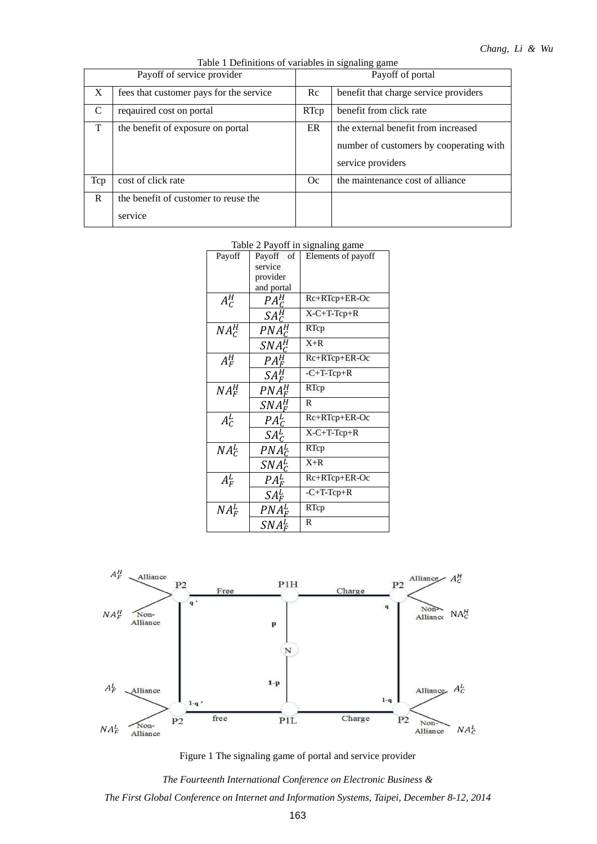| Table 1 Definitions of variables in signaling game |  |  |
|----------------------------------------------------|--|--|

| Payoff of service provider |                                         | raone i Bernhuons or variables in signamig game<br>Payoff of portal |                                                                                                     |  |
|----------------------------|-----------------------------------------|---------------------------------------------------------------------|-----------------------------------------------------------------------------------------------------|--|
| X                          | fees that customer pays for the service | Re                                                                  | benefit that charge service providers                                                               |  |
| C                          | requaired cost on portal                | RTcp                                                                | benefit from click rate                                                                             |  |
| T                          | the benefit of exposure on portal       | ER                                                                  | the external benefit from increased<br>number of customers by cooperating with<br>service providers |  |
| Tcp                        | cost of click rate                      | Oc                                                                  | the maintenance cost of alliance                                                                    |  |
| $\mathbf{R}$               | the benefit of customer to reuse the    |                                                                     |                                                                                                     |  |
|                            | service                                 |                                                                     |                                                                                                     |  |

### Table 2 Payoff in signaling game

| Payoff   | Pavoff<br>of                 | Elements of payoff |
|----------|------------------------------|--------------------|
|          | service                      |                    |
|          | provider                     |                    |
|          | and portal                   |                    |
| $A_C^H$  | $PA^H_C$                     | $Rc+RTcp+ER-OC$    |
|          | $SA^H_C$                     | $X-C+T-Tcp+R$      |
| $NA_C^H$ | $PNA^H_C$                    | RTcp               |
|          | $SNA^H_C$                    | $X + R$            |
| $A_F^H$  | $PA_F^H$                     | Rc+RTcp+ER-Oc      |
|          | $SA_{F}^{H}$                 | $-C+T-Tep+R$       |
| $NA_F^H$ | $PNA_F^H$                    | RTcp               |
|          | $SNA^H_F$                    | R                  |
| $A_c^L$  | PA <sup>L</sup> <sub>C</sub> | Rc+RTcp+ER-Oc      |
|          | $SA^L_c$                     | $X-C+T-Tcp+R$      |
| $NA^L_C$ | $PNA_C^L$                    | RTcp               |
|          | $SNA_C^L$                    | $X + R$            |
| $A_F^L$  | $PA_F^L$                     | Rc+RTcp+ER-Oc      |
|          | $SA^L_F$                     | $-C+T-Tcp+R$       |
| $NA_F^L$ | $PNA^L_F$                    | RTcp               |
|          | $SNA_F^L$                    | R                  |



Figure 1 The signaling game of portal and service provider

*The Fourteenth International Conference on Electronic Business & The First Global Conference on Internet and Information Systems, Taipei, December 8-12, 2014*